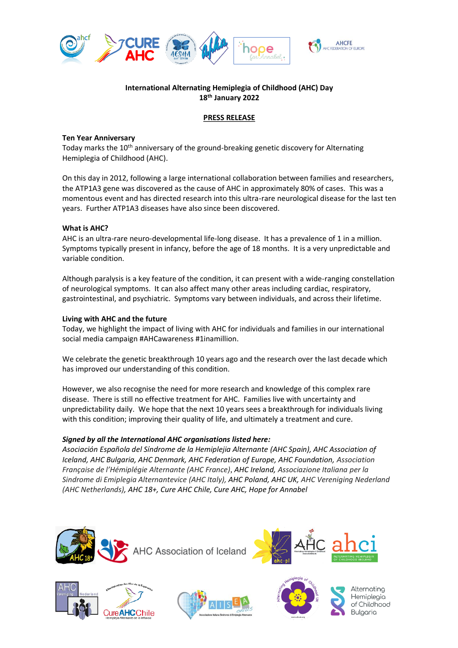

## **International Alternating Hemiplegia of Childhood (AHC) Day 18 th January 2022**

#### **PRESS RELEASE**

#### **Ten Year Anniversary**

Today marks the 10<sup>th</sup> anniversary of the ground-breaking genetic discovery for Alternating Hemiplegia of Childhood (AHC).

On this day in 2012, following a large international collaboration between families and researchers, the ATP1A3 gene was discovered as the cause of AHC in approximately 80% of cases. This was a momentous event and has directed research into this ultra-rare neurological disease for the last ten years. Further ATP1A3 diseases have also since been discovered.

### **What is AHC?**

AHC is an ultra-rare neuro-developmental life-long disease. It has a prevalence of 1 in a million. Symptoms typically present in infancy, before the age of 18 months. It is a very unpredictable and variable condition.

Although paralysis is a key feature of the condition, it can present with a wide-ranging constellation of neurological symptoms. It can also affect many other areas including cardiac, respiratory, gastrointestinal, and psychiatric. Symptoms vary between individuals, and across their lifetime.

### **Living with AHC and the future**

Today, we highlight the impact of living with AHC for individuals and families in our international social media campaign #AHCawareness #1inamillion.

We celebrate the genetic breakthrough 10 years ago and the research over the last decade which has improved our understanding of this condition.

However, we also recognise the need for more research and knowledge of this complex rare disease. There is still no effective treatment for AHC. Families live with uncertainty and unpredictability daily. We hope that the next 10 years sees a breakthrough for individuals living with this condition; improving their quality of life, and ultimately a treatment and cure.

# *Signed by all the International AHC organisations listed here:*

Asociación Española del Síndrome de la Hemiplejia Alternante (AHC Spain), AHC Association of *Iceland, AHC Bulgaria, AHC Denmark, AHC Federation of Europe, AHC Foundation, Association* Française de l'Hémiplégie Alternante (AHC France), AHC Ireland, Associazione Italiana per la *Sindrome di Emiplegia Alternantevice (AHC Italy), AHC Poland, AHC UK, AHC Vereniging Nederland (AHC Netherlands), AHC 18+, Cure AHC Chile, Cure AHC, Hope for Annabel*









Alternatina Hemiolegia of Childhood **Bulgaria**